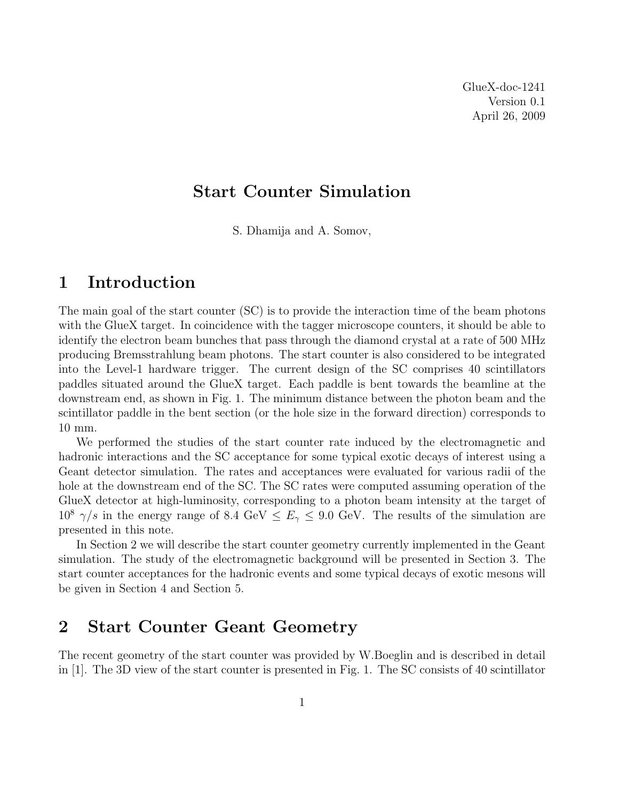# Start Counter Simulation

S. Dhamija and A. Somov,

## 1 Introduction

The main goal of the start counter (SC) is to provide the interaction time of the beam photons with the GlueX target. In coincidence with the tagger microscope counters, it should be able to identify the electron beam bunches that pass through the diamond crystal at a rate of 500 MHz producing Bremsstrahlung beam photons. The start counter is also considered to be integrated into the Level-1 hardware trigger. The current design of the SC comprises 40 scintillators paddles situated around the GlueX target. Each paddle is bent towards the beamline at the downstream end, as shown in Fig. 1. The minimum distance between the photon beam and the scintillator paddle in the bent section (or the hole size in the forward direction) corresponds to 10 mm.

We performed the studies of the start counter rate induced by the electromagnetic and hadronic interactions and the SC acceptance for some typical exotic decays of interest using a Geant detector simulation. The rates and acceptances were evaluated for various radii of the hole at the downstream end of the SC. The SC rates were computed assuming operation of the GlueX detector at high-luminosity, corresponding to a photon beam intensity at the target of  $10^8$   $\gamma/s$  in the energy range of 8.4 GeV  $\leq E_{\gamma} \leq 9.0$  GeV. The results of the simulation are presented in this note.

In Section 2 we will describe the start counter geometry currently implemented in the Geant simulation. The study of the electromagnetic background will be presented in Section 3. The start counter acceptances for the hadronic events and some typical decays of exotic mesons will be given in Section 4 and Section 5.

# 2 Start Counter Geant Geometry

The recent geometry of the start counter was provided by W.Boeglin and is described in detail in [1]. The 3D view of the start counter is presented in Fig. 1. The SC consists of 40 scintillator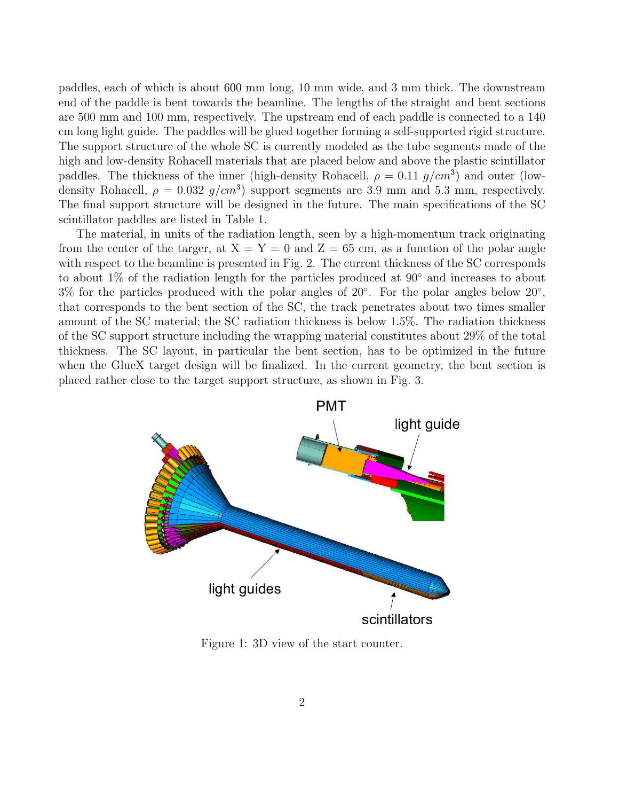paddles, each of which is about 600 mm long, 10 mm wide, and 3 mm thick. The downstream end of the paddle is bent towards the beamline. The lengths of the straight and bent sections are 500 mm and 100 mm, respectively. The upstream end of each paddle is connected to a 140 cm long light guide. The paddles will be glued together forming a self-supported rigid structure. The support structure of the whole SC is currently modeled as the tube segments made of the high and low-density Rohacell materials that are placed below and above the plastic scintillator paddles. The thickness of the inner (high-density Rohacell,  $\rho = 0.11$  g/cm<sup>3</sup>) and outer (lowdensity Rohacell,  $\rho = 0.032$   $g/cm^3$ ) support segments are 3.9 mm and 5.3 mm, respectively. The final support structure will be designed in the future. The main specifications of the SC scintillator paddles are listed in Table 1.

The material, in units of the radiation length, seen by a high-momentum track originating from the center of the targer, at  $X = Y = 0$  and  $Z = 65$  cm, as a function of the polar angle with respect to the beamline is presented in Fig. 2. The current thickness of the SC corresponds to about 1% of the radiation length for the particles produced at 90◦ and increases to about  $3\%$  for the particles produced with the polar angles of  $20°$ . For the polar angles below  $20°$ , that corresponds to the bent section of the SC, the track penetrates about two times smaller amount of the SC material; the SC radiation thickness is below 1.5%. The radiation thickness of the SC support structure including the wrapping material constitutes about 29% of the total thickness. The SC layout, in particular the bent section, has to be optimized in the future when the GlueX target design will be finalized. In the current geometry, the bent section is placed rather close to the target support structure, as shown in Fig. 3.



Figure 1: 3D view of the start counter.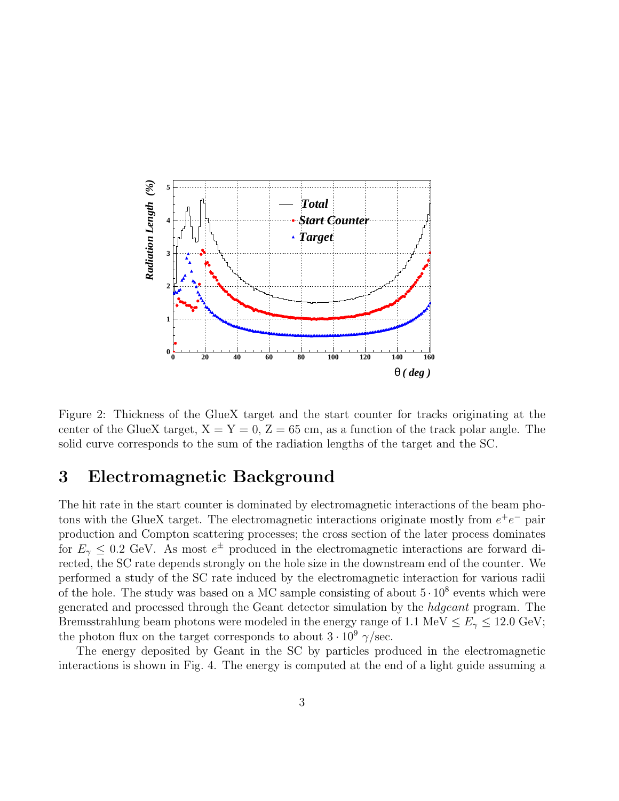

Figure 2: Thickness of the GlueX target and the start counter for tracks originating at the center of the GlueX target,  $X = Y = 0$ ,  $Z = 65$  cm, as a function of the track polar angle. The solid curve corresponds to the sum of the radiation lengths of the target and the SC.

# 3 Electromagnetic Background

The hit rate in the start counter is dominated by electromagnetic interactions of the beam photons with the GlueX target. The electromagnetic interactions originate mostly from  $e^+e^-$  pair production and Compton scattering processes; the cross section of the later process dominates for  $E_{\gamma} \leq 0.2$  GeV. As most  $e^{\pm}$  produced in the electromagnetic interactions are forward directed, the SC rate depends strongly on the hole size in the downstream end of the counter. We performed a study of the SC rate induced by the electromagnetic interaction for various radii of the hole. The study was based on a MC sample consisting of about  $5 \cdot 10^8$  events which were generated and processed through the Geant detector simulation by the hdgeant program. The Bremsstrahlung beam photons were modeled in the energy range of 1.1 MeV  $\leq E_{\gamma} \leq 12.0$  GeV; the photon flux on the target corresponds to about  $3 \cdot 10^9$   $\gamma$ /sec.

The energy deposited by Geant in the SC by particles produced in the electromagnetic interactions is shown in Fig. 4. The energy is computed at the end of a light guide assuming a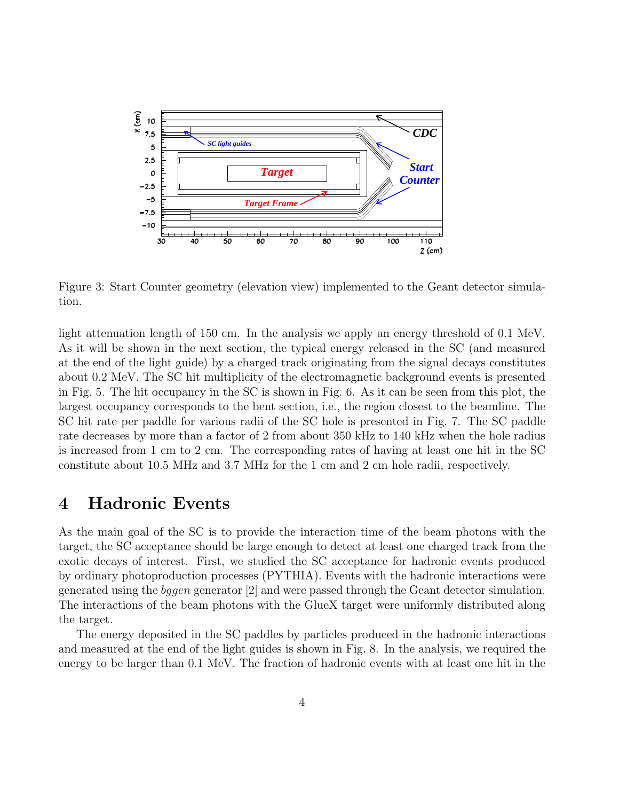

Figure 3: Start Counter geometry (elevation view) implemented to the Geant detector simulation.

light attenuation length of 150 cm. In the analysis we apply an energy threshold of 0.1 MeV. As it will be shown in the next section, the typical energy released in the SC (and measured at the end of the light guide) by a charged track originating from the signal decays constitutes about 0.2 MeV. The SC hit multiplicity of the electromagnetic background events is presented in Fig. 5. The hit occupancy in the SC is shown in Fig. 6. As it can be seen from this plot, the largest occupancy corresponds to the bent section, i.e., the region closest to the beamline. The SC hit rate per paddle for various radii of the SC hole is presented in Fig. 7. The SC paddle rate decreases by more than a factor of 2 from about 350 kHz to 140 kHz when the hole radius is increased from 1 cm to 2 cm. The corresponding rates of having at least one hit in the SC constitute about 10.5 MHz and 3.7 MHz for the 1 cm and 2 cm hole radii, respectively.

#### 4 Hadronic Events

As the main goal of the SC is to provide the interaction time of the beam photons with the target, the SC acceptance should be large enough to detect at least one charged track from the exotic decays of interest. First, we studied the SC acceptance for hadronic events produced by ordinary photoproduction processes (PYTHIA). Events with the hadronic interactions were generated using the bggen generator [2] and were passed through the Geant detector simulation. The interactions of the beam photons with the GlueX target were uniformly distributed along the target.

The energy deposited in the SC paddles by particles produced in the hadronic interactions and measured at the end of the light guides is shown in Fig. 8. In the analysis, we required the energy to be larger than 0.1 MeV. The fraction of hadronic events with at least one hit in the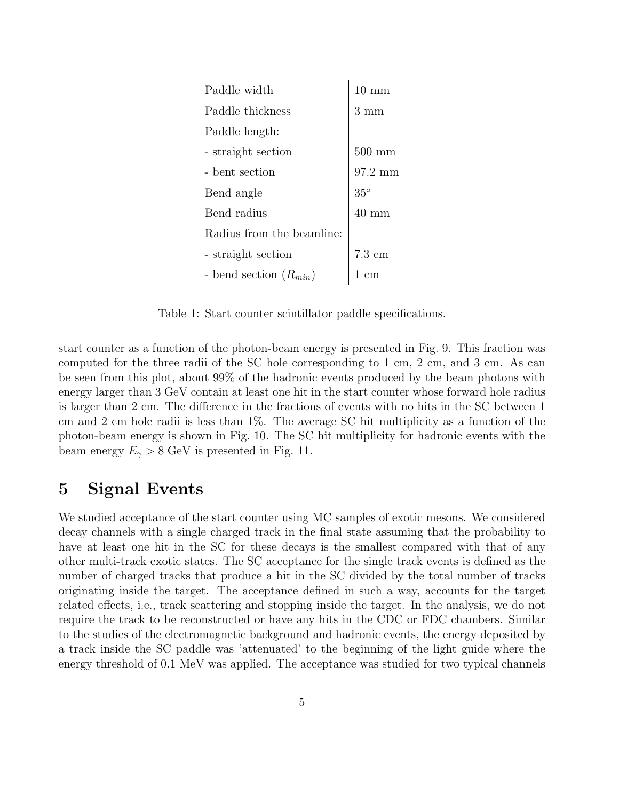| Paddle width               | $10 \text{ mm}$  |
|----------------------------|------------------|
| Paddle thickness           | 3 mm             |
| Paddle length:             |                  |
| - straight section         | $500$ mm         |
| - bent section             | 97.2 mm          |
| Bend angle                 | $35^{\circ}$     |
| Bend radius                | $40 \text{ mm}$  |
| Radius from the beamline:  |                  |
| - straight section         | $7.3 \text{ cm}$ |
| - bend section $(R_{min})$ | cm               |

Table 1: Start counter scintillator paddle specifications.

start counter as a function of the photon-beam energy is presented in Fig. 9. This fraction was computed for the three radii of the SC hole corresponding to 1 cm, 2 cm, and 3 cm. As can be seen from this plot, about 99% of the hadronic events produced by the beam photons with energy larger than 3 GeV contain at least one hit in the start counter whose forward hole radius is larger than 2 cm. The difference in the fractions of events with no hits in the SC between 1 cm and 2 cm hole radii is less than 1%. The average SC hit multiplicity as a function of the photon-beam energy is shown in Fig. 10. The SC hit multiplicity for hadronic events with the beam energy  $E_{\gamma} > 8$  GeV is presented in Fig. 11.

## 5 Signal Events

We studied acceptance of the start counter using MC samples of exotic mesons. We considered decay channels with a single charged track in the final state assuming that the probability to have at least one hit in the SC for these decays is the smallest compared with that of any other multi-track exotic states. The SC acceptance for the single track events is defined as the number of charged tracks that produce a hit in the SC divided by the total number of tracks originating inside the target. The acceptance defined in such a way, accounts for the target related effects, i.e., track scattering and stopping inside the target. In the analysis, we do not require the track to be reconstructed or have any hits in the CDC or FDC chambers. Similar to the studies of the electromagnetic background and hadronic events, the energy deposited by a track inside the SC paddle was 'attenuated' to the beginning of the light guide where the energy threshold of 0.1 MeV was applied. The acceptance was studied for two typical channels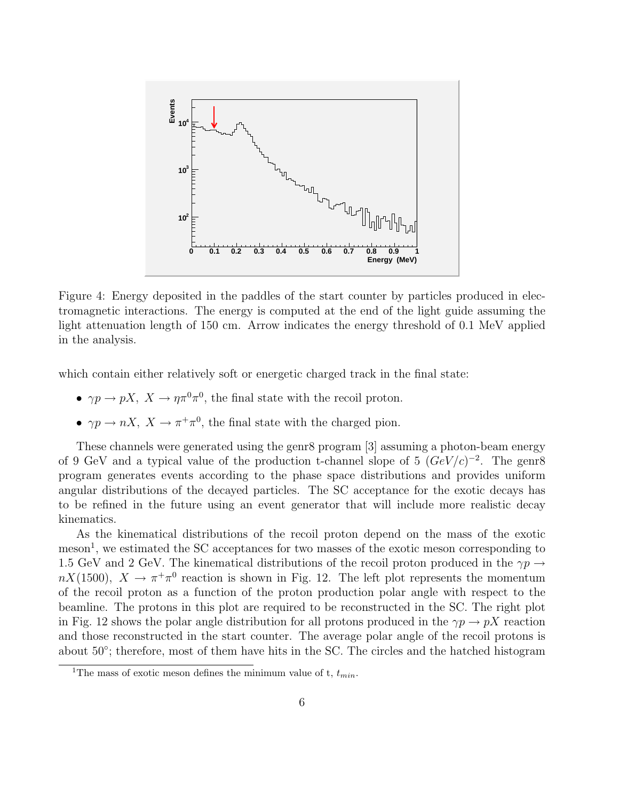

Figure 4: Energy deposited in the paddles of the start counter by particles produced in electromagnetic interactions. The energy is computed at the end of the light guide assuming the light attenuation length of 150 cm. Arrow indicates the energy threshold of 0.1 MeV applied in the analysis.

which contain either relatively soft or energetic charged track in the final state:

- $\gamma p \to pX$ ,  $X \to \eta \pi^0 \pi^0$ , the final state with the recoil proton.
- $\gamma p \to nX$ ,  $X \to \pi^+\pi^0$ , the final state with the charged pion.

These channels were generated using the genr8 program [3] assuming a photon-beam energy of 9 GeV and a typical value of the production t-channel slope of 5  $(GeV/c)^{-2}$ . The genr8 program generates events according to the phase space distributions and provides uniform angular distributions of the decayed particles. The SC acceptance for the exotic decays has to be refined in the future using an event generator that will include more realistic decay kinematics.

As the kinematical distributions of the recoil proton depend on the mass of the exotic meson<sup>1</sup>, we estimated the SC acceptances for two masses of the exotic meson corresponding to 1.5 GeV and 2 GeV. The kinematical distributions of the recoil proton produced in the  $\gamma p \to$  $nX(1500)$ ,  $X \to \pi^+\pi^0$  reaction is shown in Fig. 12. The left plot represents the momentum of the recoil proton as a function of the proton production polar angle with respect to the beamline. The protons in this plot are required to be reconstructed in the SC. The right plot in Fig. 12 shows the polar angle distribution for all protons produced in the  $\gamma p \to pX$  reaction and those reconstructed in the start counter. The average polar angle of the recoil protons is about 50◦ ; therefore, most of them have hits in the SC. The circles and the hatched histogram

<sup>&</sup>lt;sup>1</sup>The mass of exotic meson defines the minimum value of t,  $t_{min}$ .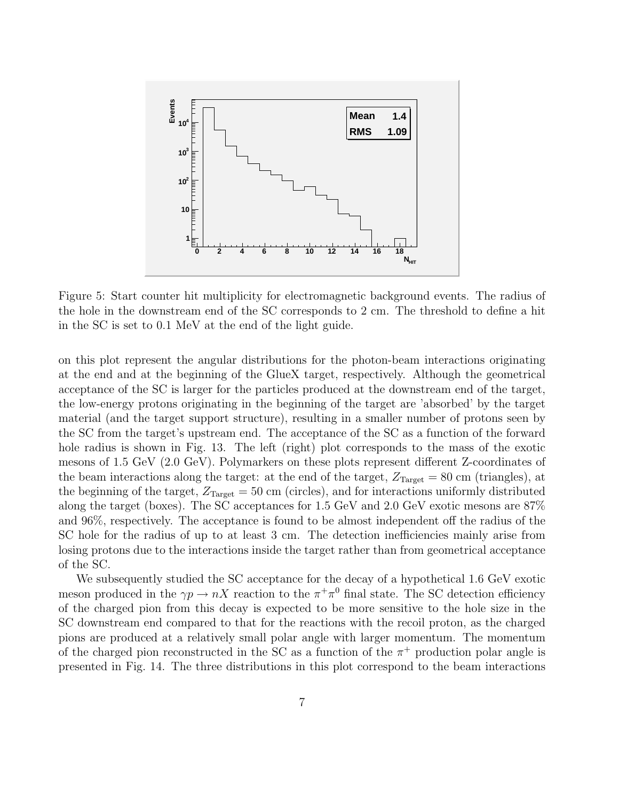

Figure 5: Start counter hit multiplicity for electromagnetic background events. The radius of the hole in the downstream end of the SC corresponds to 2 cm. The threshold to define a hit in the SC is set to 0.1 MeV at the end of the light guide.

on this plot represent the angular distributions for the photon-beam interactions originating at the end and at the beginning of the GlueX target, respectively. Although the geometrical acceptance of the SC is larger for the particles produced at the downstream end of the target, the low-energy protons originating in the beginning of the target are 'absorbed' by the target material (and the target support structure), resulting in a smaller number of protons seen by the SC from the target's upstream end. The acceptance of the SC as a function of the forward hole radius is shown in Fig. 13. The left (right) plot corresponds to the mass of the exotic mesons of 1.5 GeV (2.0 GeV). Polymarkers on these plots represent different Z-coordinates of the beam interactions along the target: at the end of the target,  $Z_{Target} = 80$  cm (triangles), at the beginning of the target,  $Z_{Target} = 50 \text{ cm}$  (circles), and for interactions uniformly distributed along the target (boxes). The SC acceptances for 1.5 GeV and 2.0 GeV exotic mesons are 87% and 96%, respectively. The acceptance is found to be almost independent off the radius of the SC hole for the radius of up to at least 3 cm. The detection inefficiencies mainly arise from losing protons due to the interactions inside the target rather than from geometrical acceptance of the SC.

We subsequently studied the SC acceptance for the decay of a hypothetical 1.6 GeV exotic meson produced in the  $\gamma p \to nX$  reaction to the  $\pi^+\pi^0$  final state. The SC detection efficiency of the charged pion from this decay is expected to be more sensitive to the hole size in the SC downstream end compared to that for the reactions with the recoil proton, as the charged pions are produced at a relatively small polar angle with larger momentum. The momentum of the charged pion reconstructed in the SC as a function of the  $\pi^+$  production polar angle is presented in Fig. 14. The three distributions in this plot correspond to the beam interactions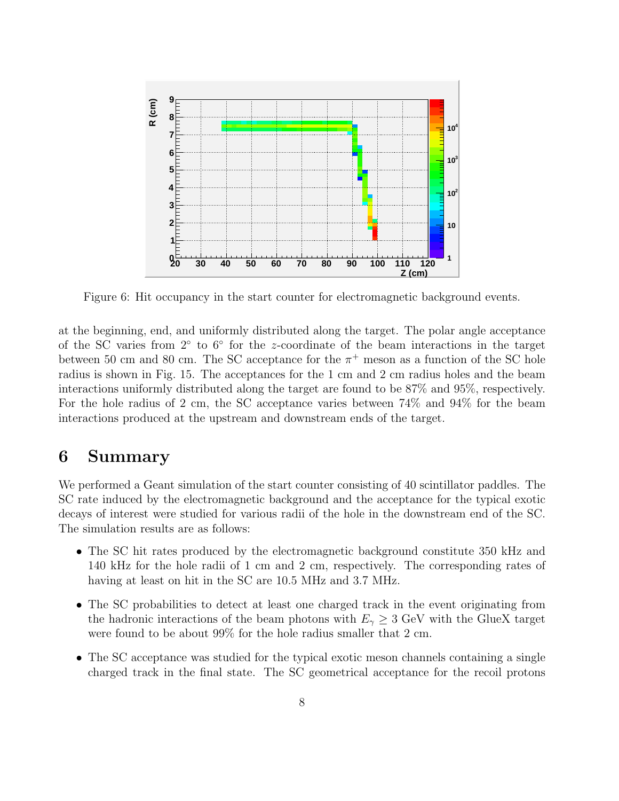

Figure 6: Hit occupancy in the start counter for electromagnetic background events.

at the beginning, end, and uniformly distributed along the target. The polar angle acceptance of the SC varies from 2° to 6° for the z-coordinate of the beam interactions in the target between 50 cm and 80 cm. The SC acceptance for the  $\pi^+$  meson as a function of the SC hole radius is shown in Fig. 15. The acceptances for the 1 cm and 2 cm radius holes and the beam interactions uniformly distributed along the target are found to be 87% and 95%, respectively. For the hole radius of 2 cm, the SC acceptance varies between 74% and 94% for the beam interactions produced at the upstream and downstream ends of the target.

## 6 Summary

We performed a Geant simulation of the start counter consisting of 40 scintillator paddles. The SC rate induced by the electromagnetic background and the acceptance for the typical exotic decays of interest were studied for various radii of the hole in the downstream end of the SC. The simulation results are as follows:

- The SC hit rates produced by the electromagnetic background constitute 350 kHz and 140 kHz for the hole radii of 1 cm and 2 cm, respectively. The corresponding rates of having at least on hit in the SC are 10.5 MHz and 3.7 MHz.
- The SC probabilities to detect at least one charged track in the event originating from the hadronic interactions of the beam photons with  $E_{\gamma} \geq 3$  GeV with the GlueX target were found to be about 99% for the hole radius smaller that 2 cm.
- The SC acceptance was studied for the typical exotic meson channels containing a single charged track in the final state. The SC geometrical acceptance for the recoil protons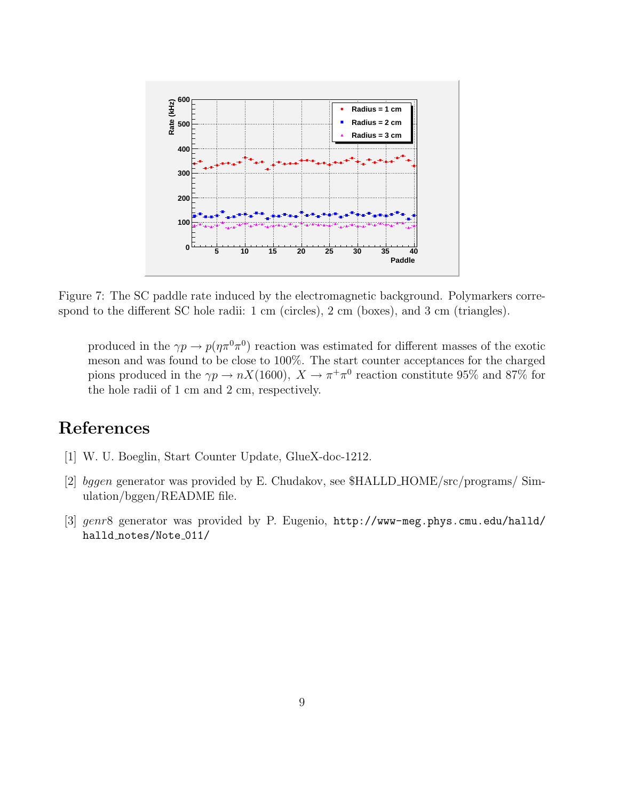

Figure 7: The SC paddle rate induced by the electromagnetic background. Polymarkers correspond to the different SC hole radii: 1 cm (circles), 2 cm (boxes), and 3 cm (triangles).

produced in the  $\gamma p \to p(\eta \pi^0 \pi^0)$  reaction was estimated for different masses of the exotic meson and was found to be close to 100%. The start counter acceptances for the charged pions produced in the  $\gamma p \to nX(1600)$ ,  $X \to \pi^+\pi^0$  reaction constitute 95% and 87% for the hole radii of 1 cm and 2 cm, respectively.

# References

- [1] W. U. Boeglin, Start Counter Update, GlueX-doc-1212.
- [2] bggen generator was provided by E. Chudakov, see \$HALLD HOME/src/programs/ Simulation/bggen/README file.
- [3] genr8 generator was provided by P. Eugenio, http://www-meg.phys.cmu.edu/halld/ halld\_notes/Note\_011/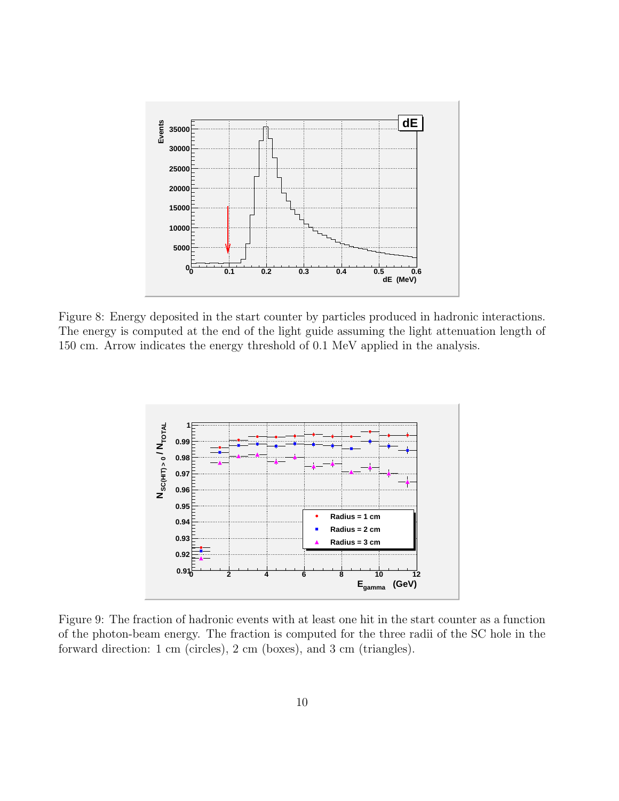

Figure 8: Energy deposited in the start counter by particles produced in hadronic interactions. The energy is computed at the end of the light guide assuming the light attenuation length of 150 cm. Arrow indicates the energy threshold of 0.1 MeV applied in the analysis.



Figure 9: The fraction of hadronic events with at least one hit in the start counter as a function of the photon-beam energy. The fraction is computed for the three radii of the SC hole in the forward direction: 1 cm (circles), 2 cm (boxes), and 3 cm (triangles).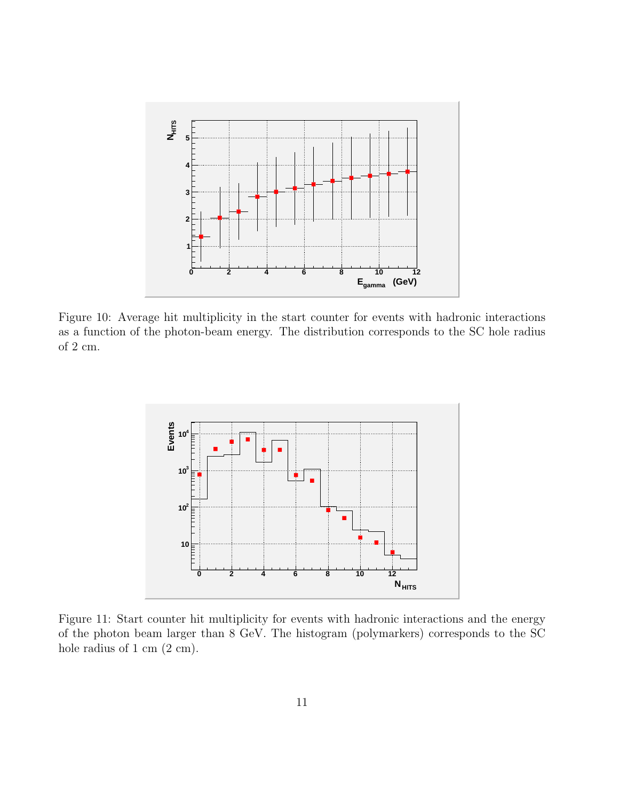

Figure 10: Average hit multiplicity in the start counter for events with hadronic interactions as a function of the photon-beam energy. The distribution corresponds to the SC hole radius of 2 cm.



Figure 11: Start counter hit multiplicity for events with hadronic interactions and the energy of the photon beam larger than 8 GeV. The histogram (polymarkers) corresponds to the SC hole radius of 1 cm  $(2 \text{ cm})$ .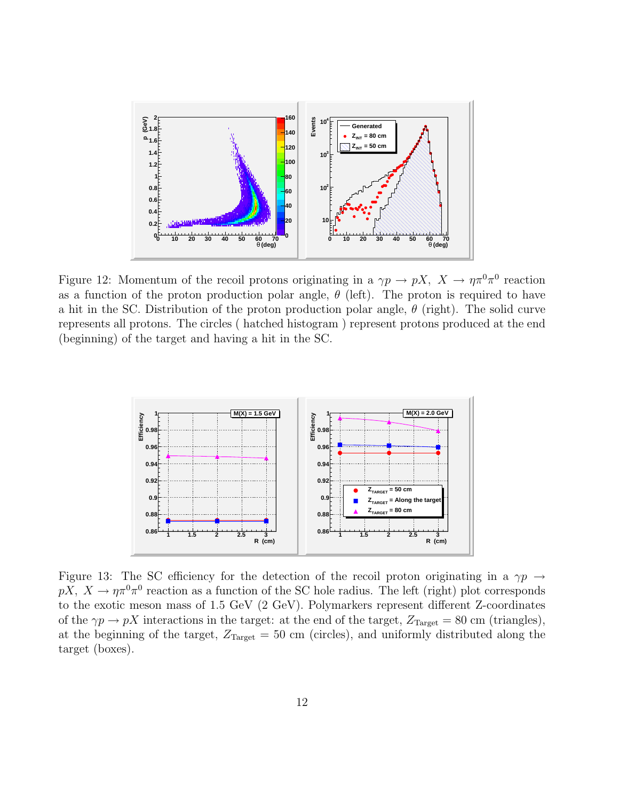

Figure 12: Momentum of the recoil protons originating in a  $\gamma p \to pX$ ,  $X \to \eta \pi^0 \pi^0$  reaction as a function of the proton production polar angle,  $\theta$  (left). The proton is required to have a hit in the SC. Distribution of the proton production polar angle,  $\theta$  (right). The solid curve represents all protons. The circles ( hatched histogram ) represent protons produced at the end (beginning) of the target and having a hit in the SC.



Figure 13: The SC efficiency for the detection of the recoil proton originating in a  $\gamma p \rightarrow$  $pX, X \to \eta \pi^0 \pi^0$  reaction as a function of the SC hole radius. The left (right) plot corresponds to the exotic meson mass of 1.5 GeV (2 GeV). Polymarkers represent different Z-coordinates of the  $\gamma p \to pX$  interactions in the target: at the end of the target,  $Z_{Target} = 80$  cm (triangles), at the beginning of the target,  $Z_{\text{Target}} = 50 \text{ cm}$  (circles), and uniformly distributed along the target (boxes).